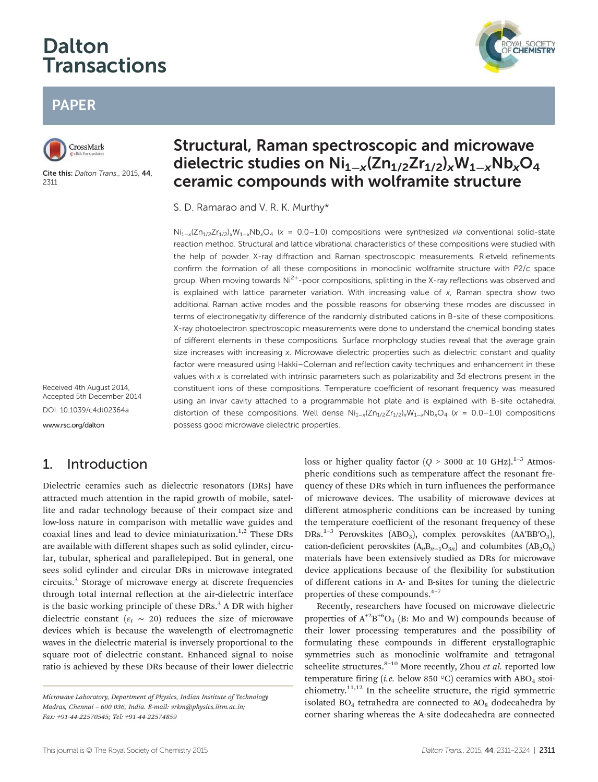# **Dalton Transactions**



# PAPER



Cite this: Dalton Trans., 2015, 44, 2311

# Structural, Raman spectroscopic and microwave dielectric studies on Ni<sub>1−x</sub>(Zn<sub>1/2</sub>Zr<sub>1/2</sub>)<sub>x</sub>W<sub>1−x</sub>Nb<sub>x</sub>O<sub>4</sub> ceramic compounds with wolframite structure

S. D. Ramarao and V. R. K. Murthy\*

Ni<sub>1-x</sub>(Zn<sub>1/2</sub>Zr<sub>1/2</sub>)<sub>x</sub>W<sub>1-x</sub>Nb<sub>x</sub>O<sub>4</sub> (x = 0.0-1.0) compositions were synthesized via conventional solid-state reaction method. Structural and lattice vibrational characteristics of these compositions were studied with the help of powder X-ray diffraction and Raman spectroscopic measurements. Rietveld refinements confirm the formation of all these compositions in monoclinic wolframite structure with P2/c space group. When moving towards Ni<sup>2+</sup>-poor compositions, splitting in the X-ray reflections was observed and is explained with lattice parameter variation. With increasing value of  $x$ , Raman spectra show two additional Raman active modes and the possible reasons for observing these modes are discussed in terms of electronegativity difference of the randomly distributed cations in B-site of these compositions. X-ray photoelectron spectroscopic measurements were done to understand the chemical bonding states of different elements in these compositions. Surface morphology studies reveal that the average grain size increases with increasing x. Microwave dielectric properties such as dielectric constant and quality factor were measured using Hakki–Coleman and reflection cavity techniques and enhancement in these values with x is correlated with intrinsic parameters such as polarizability and 3d electrons present in the constituent ions of these compositions. Temperature coefficient of resonant frequency was measured using an invar cavity attached to a programmable hot plate and is explained with B-site octahedral distortion of these compositions. Well dense  $Ni_{1-x}/Zn_{1/2}Zn_{1/2}$ ,  $W_{1-x}/W_xO_4$  (x = 0.0–1.0) compositions possess good microwave dielectric properties.

Received 4th August 2014, Accepted 5th December 2014 DOI: 10.1039/c4dt02364a www.rsc.org/dalton

# 1. Introduction

Dielectric ceramics such as dielectric resonators (DRs) have attracted much attention in the rapid growth of mobile, satellite and radar technology because of their compact size and low-loss nature in comparison with metallic wave guides and coaxial lines and lead to device miniaturization.<sup>1,2</sup> These DRs are available with different shapes such as solid cylinder, circular, tubular, spherical and parallelepiped. But in general, one sees solid cylinder and circular DRs in microwave integrated circuits.<sup>3</sup> Storage of microwave energy at discrete frequencies through total internal reflection at the air-dielectric interface is the basic working principle of these DRs.<sup>3</sup> A DR with higher dielectric constant ( $\varepsilon_r \sim 20$ ) reduces the size of microwave devices which is because the wavelength of electromagnetic waves in the dielectric material is inversely proportional to the square root of dielectric constant. Enhanced signal to noise ratio is achieved by these DRs because of their lower dielectric

loss or higher quality factor  $(Q > 3000$  at 10 GHz).<sup>1-3</sup> Atmospheric conditions such as temperature affect the resonant frequency of these DRs which in turn influences the performance of microwave devices. The usability of microwave devices at different atmospheric conditions can be increased by tuning the temperature coefficient of the resonant frequency of these DRs.<sup>1-3</sup> Perovskites (ABO<sub>3</sub>), complex perovskites (AA'BB'O<sub>3</sub>), cation-deficient perovskites  $(A_nB_{n-1}O_{3n})$  and columbites  $(AB_2O_6)$ materials have been extensively studied as DRs for microwave device applications because of the flexibility for substitution of different cations in A- and B-sites for tuning the dielectric properties of these compounds. $4-7$ 

Recently, researchers have focused on microwave dielectric properties of  $A^{+2}B^{+6}O_4$  (B: Mo and W) compounds because of their lower processing temperatures and the possibility of formulating these compounds in different crystallographic symmetries such as monoclinic wolframite and tetragonal scheelite structures.<sup>8-10</sup> More recently, Zhou *et al.* reported low temperature firing (*i.e.* below 850 °C) ceramics with ABO<sub>4</sub> stoichiometry.<sup>11,12</sup> In the scheelite structure, the rigid symmetric isolated  $BO<sub>4</sub>$  tetrahedra are connected to  $AO<sub>8</sub>$  dodecahedra by corner sharing whereas the A-site dodecahedra are connected

*Microwave Laboratory, Department of Physics, Indian Institute of Technology Madras, Chennai* – *600 036, India. E-mail: vrkm@physics.iitm.ac.in; Fax: +91-44-22570545; Tel: +91-44-22574859*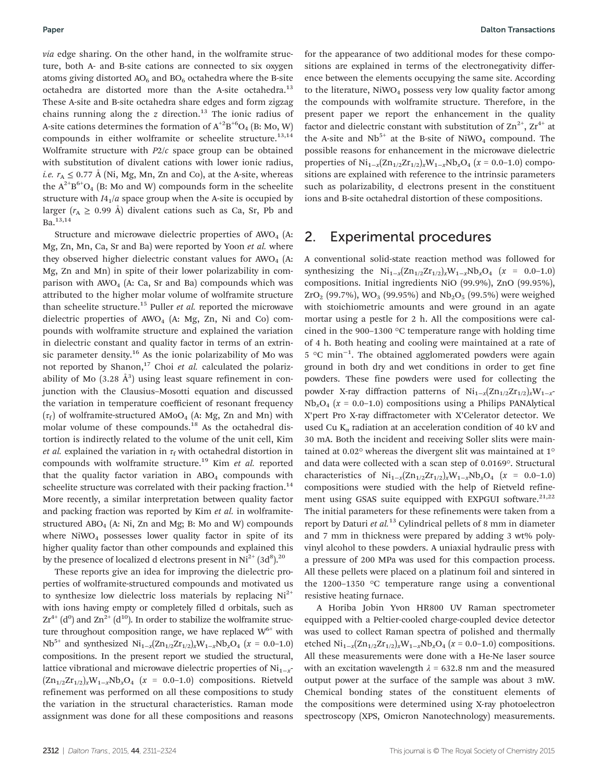*via* edge sharing. On the other hand, in the wolframite structure, both A- and B-site cations are connected to six oxygen atoms giving distorted  $AO<sub>6</sub>$  and  $BO<sub>6</sub>$  octahedra where the B-site octahedra are distorted more than the A-site octahedra.<sup>13</sup> These A-site and B-site octahedra share edges and form zigzag chains running along the  $\zeta$  direction.<sup>13</sup> The ionic radius of A-site cations determines the formation of  $\text{A}^{+2}\text{B}^{+6}\text{O}_4$  (B: Mo, W) compounds in either wolframite or scheelite structure.<sup>13,14</sup> Wolframite structure with *P*2/*c* space group can be obtained with substitution of divalent cations with lower ionic radius, *i.e.*  $r_A \leq 0.77$  Å (Ni, Mg, Mn, Zn and Co), at the A-site, whereas the  $A^{2+}B^{6+}O_4$  (B: Mo and W) compounds form in the scheelite structure with  $I4_1/a$  space group when the A-site is occupied by larger  $(r_A \geq 0.99 \text{ Å})$  divalent cations such as Ca, Sr, Pb and Ba.13,14

Structure and microwave dielectric properties of  $AWO<sub>4</sub>$  (A: Mg, Zn, Mn, Ca, Sr and Ba) were reported by Yoon *et al.* where they observed higher dielectric constant values for  $AWO<sub>4</sub>$  (A: Mg, Zn and Mn) in spite of their lower polarizability in comparison with  $AWO<sub>4</sub>$  (A: Ca, Sr and Ba) compounds which was attributed to the higher molar volume of wolframite structure than scheelite structure.<sup>15</sup> Puller *et al.* reported the microwave dielectric properties of  $AWO<sub>4</sub>$  (A: Mg, Zn, Ni and Co) compounds with wolframite structure and explained the variation in dielectric constant and quality factor in terms of an extrinsic parameter density.<sup>16</sup> As the ionic polarizability of Mo was not reported by Shanon,<sup>17</sup> Choi *et al.* calculated the polarizability of Mo  $(3.28 \text{ Å}^3)$  using least square refinement in conjunction with the Clausius–Mosotti equation and discussed the variation in temperature coefficient of resonant frequency  $(\tau_{\rm f})$  of wolframite-structured AMoO<sub>4</sub> (A: Mg, Zn and Mn) with molar volume of these compounds.<sup>18</sup> As the octahedral distortion is indirectly related to the volume of the unit cell, Kim *et al.* explained the variation in  $\tau_f$  with octahedral distortion in compounds with wolframite structure.<sup>19</sup> Kim *et al.* reported that the quality factor variation in  $ABO<sub>4</sub>$  compounds with scheelite structure was correlated with their packing fraction.<sup>14</sup> More recently, a similar interpretation between quality factor and packing fraction was reported by Kim *et al.* in wolframitestructured ABO<sub>4</sub> (A: Ni, Zn and Mg; B: Mo and W) compounds where  $NiWO<sub>4</sub>$  possesses lower quality factor in spite of its higher quality factor than other compounds and explained this by the presence of localized d electrons present in  $Ni^{2+}$  (3d<sup>8</sup>).<sup>20</sup>

These reports give an idea for improving the dielectric properties of wolframite-structured compounds and motivated us to synthesize low dielectric loss materials by replacing  $Ni<sup>2+</sup>$ with ions having empty or completely filled d orbitals, such as  $Zr^{4+}$  (d<sup>0</sup>) and  $Zn^{2+}$  (d<sup>10</sup>). In order to stabilize the wolframite structure throughout composition range, we have replaced  $W^{6+}$  with Nb<sup>5+</sup> and synthesized Ni<sub>1−*x*</sub>(Zn<sub>1/2</sub>Zr<sub>1/2</sub>)<sub>*x*</sub>W<sub>1−*x*</sub>Nb<sub>*x*</sub>O<sub>4</sub> (*x* = 0.0−1.0) compositions. In the present report we studied the structural, lattice vibrational and microwave dielectric properties of Ni<sub>1−*x*</sub>- $(Zn_{1/2}Zr_{1/2})$ <sub>*x*</sub>W<sub>1−*x*</sub>Nb<sub>*x*</sub>O<sub>4</sub> (*x* = 0.0–1.0) compositions. Rietveld refinement was performed on all these compositions to study the variation in the structural characteristics. Raman mode assignment was done for all these compositions and reasons

for the appearance of two additional modes for these compositions are explained in terms of the electronegativity difference between the elements occupying the same site. According to the literature,  $NiWO<sub>4</sub>$  possess very low quality factor among the compounds with wolframite structure. Therefore, in the present paper we report the enhancement in the quality factor and dielectric constant with substitution of  $\text{Zn}^{2+}$ ,  $\text{Zr}^{4+}$  at the A-site and  $Nb^{5+}$  at the B-site of NiWO<sub>4</sub> compound. The possible reasons for enhancement in the microwave dielectric properties of Ni<sub>1−*x*</sub>(Zn<sub>1/2</sub>Zr<sub>1/2</sub>)<sub>*x*</sub>W<sub>1−*x*</sub>Nb<sub>*x*</sub>O<sub>4</sub> (*x* = 0.0−1.0) compositions are explained with reference to the intrinsic parameters such as polarizability, d electrons present in the constituent ions and B-site octahedral distortion of these compositions.

### 2. Experimental procedures

A conventional solid-state reaction method was followed for synthesizing the  $Ni_{1-x}(Zn_{1/2}Zr_{1/2})_xW_{1-x}Nb_xO_4$  (*x* = 0.0–1.0) compositions. Initial ingredients NiO (99.9%), ZnO (99.95%),  $ZrO<sub>2</sub>$  (99.7%), WO<sub>3</sub> (99.95%) and Nb<sub>2</sub>O<sub>5</sub> (99.5%) were weighed with stoichiometric amounts and were ground in an agate mortar using a pestle for 2 h. All the compositions were calcined in the 900–1300 °C temperature range with holding time of 4 h. Both heating and cooling were maintained at a rate of 5 °C min−<sup>1</sup> . The obtained agglomerated powders were again ground in both dry and wet conditions in order to get fine powders. These fine powders were used for collecting the powder X-ray diffraction patterns of Ni<sub>1−*x*</sub>(Zn<sub>1/2</sub>Zr<sub>1/2</sub>)<sub>*x*</sub>W<sub>1−*x*</sub>  $Nb<sub>x</sub>O<sub>4</sub>$  ( $x = 0.0-1.0$ ) compositions using a Philips PANAlytical X'pert Pro X-ray diffractometer with X'Celerator detector. We used Cu  $K_{\alpha}$  radiation at an acceleration condition of 40 kV and 30 mA. Both the incident and receiving Soller slits were maintained at 0.02° whereas the divergent slit was maintained at 1° and data were collected with a scan step of 0.0169°. Structural characteristics of  $Ni_{1-x}(Zn_{1/2}Zr_{1/2})_xW_{1-x}Nb_xO_4$  (*x* = 0.0–1.0) compositions were studied with the help of Rietveld refinement using GSAS suite equipped with EXPGUI software.<sup>21,22</sup> The initial parameters for these refinements were taken from a report by Daturi *et al.*<sup>13</sup> Cylindrical pellets of 8 mm in diameter and 7 mm in thickness were prepared by adding 3 wt% polyvinyl alcohol to these powders. A uniaxial hydraulic press with a pressure of 200 MPa was used for this compaction process. All these pellets were placed on a platinum foil and sintered in the 1200–1350 °C temperature range using a conventional resistive heating furnace.

A Horiba Jobin Yvon HR800 UV Raman spectrometer equipped with a Peltier-cooled charge-coupled device detector was used to collect Raman spectra of polished and thermally etched  $\text{Ni}_{1-x}(\text{Zn}_{1/2}\text{Zr}_{1/2})$ <sub>*x*</sub>W<sub>1−*x*</sub>Nb<sub>*x*</sub>O<sub>4</sub> (*x* = 0.0–1.0) compositions. All these measurements were done with a He-Ne laser source with an excitation wavelength  $\lambda = 632.8$  nm and the measured output power at the surface of the sample was about 3 mW. Chemical bonding states of the constituent elements of the compositions were determined using X-ray photoelectron spectroscopy (XPS, Omicron Nanotechnology) measurements.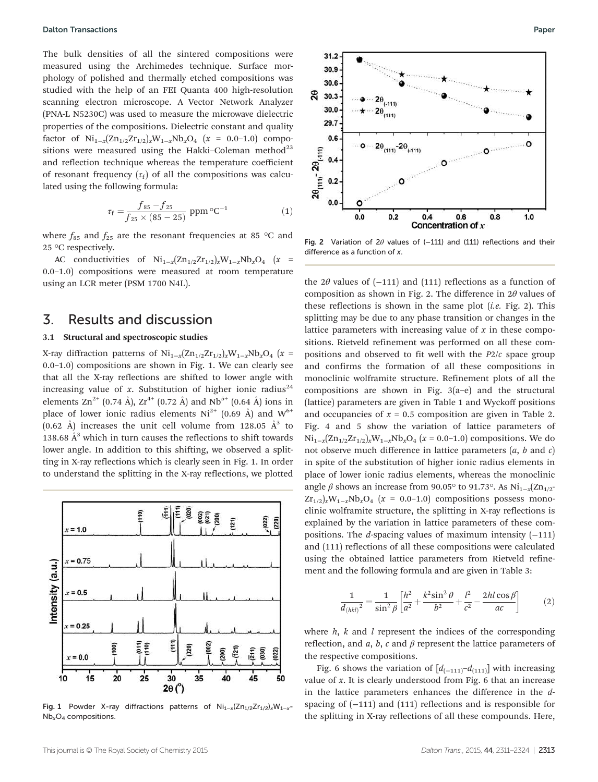The bulk densities of all the sintered compositions were measured using the Archimedes technique. Surface morphology of polished and thermally etched compositions was studied with the help of an FEI Quanta 400 high-resolution scanning electron microscope. A Vector Network Analyzer (PNA-L N5230C) was used to measure the microwave dielectric properties of the compositions. Dielectric constant and quality factor of  $Ni_{1-x}(Zn_{1/2}Zr_{1/2})$ <sub>*x*</sub>W<sub>1−*x*</sub>Nb<sub>*x*</sub>O<sub>4</sub> (*x* = 0.0–1.0) compositions were measured using the Hakki–Coleman method<sup>23</sup> and reflection technique whereas the temperature coefficient of resonant frequency  $(\tau_f)$  of all the compositions was calculated using the following formula:

$$
\tau_{\rm f} = \frac{f_{85} - f_{25}}{f_{25} \times (85 - 25)} \text{ ppm} \, {}^{\circ}\text{C}^{-1} \tag{1}
$$

where  $f_{85}$  and  $f_{25}$  are the resonant frequencies at 85 °C and 25 °C respectively.

AC conductivities of  $\text{Ni}_{1-x}(\text{Zn}_{1/2}\text{Zr}_{1/2})_x\text{W}_{1-x}\text{Nb}_x\text{O}_4$  (*x* = 0.0–1.0) compositions were measured at room temperature using an LCR meter (PSM 1700 N4L).

### 3. Results and discussion

#### 3.1 Structural and spectroscopic studies

X-ray diffraction patterns of Ni1−*<sup>x</sup>* (Zn1/2Zr1/2)*x*W1−*x*Nb*x*O<sup>4</sup> (*x* = 0.0–1.0) compositions are shown in Fig. 1. We can clearly see that all the X-ray reflections are shifted to lower angle with increasing value of  $x$ . Substitution of higher ionic radius<sup>24</sup> elements  $\text{Zn}^{2+}$  (0.74 Å),  $\text{Zr}^{4+}$  (0.72 Å) and  $\text{Nb}^{5+}$  (0.64 Å) ions in place of lower ionic radius elements  $Ni^{2+}$  (0.69 Å) and  $W^{6+}$ (0.62 Å) increases the unit cell volume from 128.05  $\AA$ <sup>3</sup> to 138.68  $A<sup>3</sup>$  which in turn causes the reflections to shift towards lower angle. In addition to this shifting, we observed a splitting in X-ray reflections which is clearly seen in Fig. 1. In order to understand the splitting in the X-ray reflections, we plotted



Fig. 1 Powder X-ray diffractions patterns of  $Ni_{1-x}(Zn_{1/2}Zr_{1/2})$ <sub>x</sub>W<sub>1-x</sub>- $Nb_xO_4$  compositions.



 $0.6$ 

Concentration of  $x$ 

 $0.8$ 

 $1.0$ 

 $\Omega$ 

Fig. 2 Variation of 2 $\theta$  values of (-111) and (111) reflections and their difference as a function of x.

 $0.4$ 

 $31.2$ 30.9 30.6

30.3

30.0 29.7  $0.6$ 

 $0.4$ 

 $0.2$ 

 $0.0$ 

 $0.0$ 

 $0.2$ 

92

 $2\theta_{(111)}$ -  $2\theta_{(-111)}$ 

the 2 $\theta$  values of (−111) and (111) reflections as a function of composition as shown in Fig. 2. The difference in  $2\theta$  values of these reflections is shown in the same plot (*i.e.* Fig. 2). This splitting may be due to any phase transition or changes in the lattice parameters with increasing value of *x* in these compositions. Rietveld refinement was performed on all these compositions and observed to fit well with the *P*2/*c* space group and confirms the formation of all these compositions in monoclinic wolframite structure. Refinement plots of all the compositions are shown in Fig. 3(a–e) and the structural (lattice) parameters are given in Table 1 and Wyckoff positions and occupancies of  $x = 0.5$  composition are given in Table 2. Fig. 4 and 5 show the variation of lattice parameters of  $Ni_{1-x}(Zn_{1/2}Zr_{1/2})$ <sub>*x*</sub>W<sub>1−*x*</sub>Nb<sub>*x*</sub>O<sub>4</sub> (*x* = 0.0−1.0) compositions. We do not observe much difference in lattice parameters (*a*, *b* and *c*) in spite of the substitution of higher ionic radius elements in place of lower ionic radius elements, whereas the monoclinic angle  $\beta$  shows an increase from 90.05° to 91.73°. As Ni<sub>1-*x*</sub>(Zn<sub>1/2</sub>- $Zr_{1/2}$ <sub>*x*</sub>W<sub>1−*x*</sub>Nb<sub>*x*</sub>O<sub>4</sub> ( $x = 0.0$ −1.0) compositions possess monoclinic wolframite structure, the splitting in X-ray reflections is explained by the variation in lattice parameters of these compositions. The *d*-spacing values of maximum intensity (−111) and (111) reflections of all these compositions were calculated using the obtained lattice parameters from Rietveld refinement and the following formula and are given in Table 3:

$$
\frac{1}{d_{(hkl)}^2} = \frac{1}{\sin^2 \beta} \left[ \frac{h^2}{a^2} + \frac{k^2 \sin^2 \theta}{b^2} + \frac{l^2}{c^2} - \frac{2hl \cos \beta}{ac} \right]
$$
(2)

where *h*, *k* and *l* represent the indices of the corresponding reflection, and  $a$ ,  $b$ ,  $c$  and  $\beta$  represent the lattice parameters of the respective compositions.

Fig. 6 shows the variation of  $[d_{(-111)}-d_{(111)}]$  with increasing value of *x*. It is clearly understood from Fig. 6 that an increase in the lattice parameters enhances the difference in the *d*spacing of  $(-111)$  and  $(111)$  reflections and is responsible for the splitting in X-ray reflections of all these compounds. Here,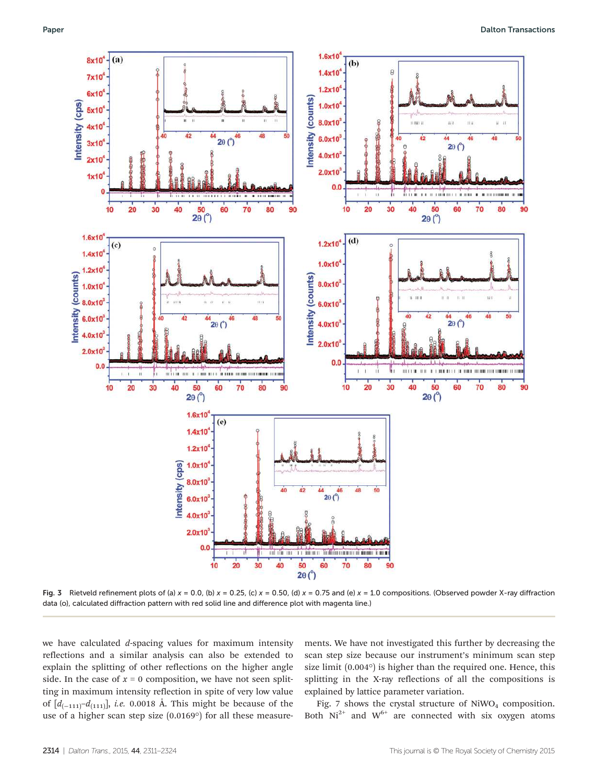

Fig. 3 Rietveld refinement plots of (a)  $x = 0.0$ , (b)  $x = 0.25$ , (c)  $x = 0.50$ , (d)  $x = 0.75$  and (e)  $x = 1.0$  compositions. (Observed powder X-ray diffraction data (o), calculated diffraction pattern with red solid line and difference plot with magenta line.)

we have calculated *d*-spacing values for maximum intensity reflections and a similar analysis can also be extended to explain the splitting of other reflections on the higher angle side. In the case of  $x = 0$  composition, we have not seen splitting in maximum intensity reflection in spite of very low value of [*d*(−111)–*d*(111)], *i.e.* 0.0018 Å. This might be because of the use of a higher scan step size (0.0169°) for all these measure-

ments. We have not investigated this further by decreasing the scan step size because our instrument's minimum scan step size limit (0.004°) is higher than the required one. Hence, this splitting in the X-ray reflections of all the compositions is explained by lattice parameter variation.

Fig. 7 shows the crystal structure of  $\mathrm{NiWO}_4$  composition. Both  $Ni^{2+}$  and  $W^{6+}$  are connected with six oxygen atoms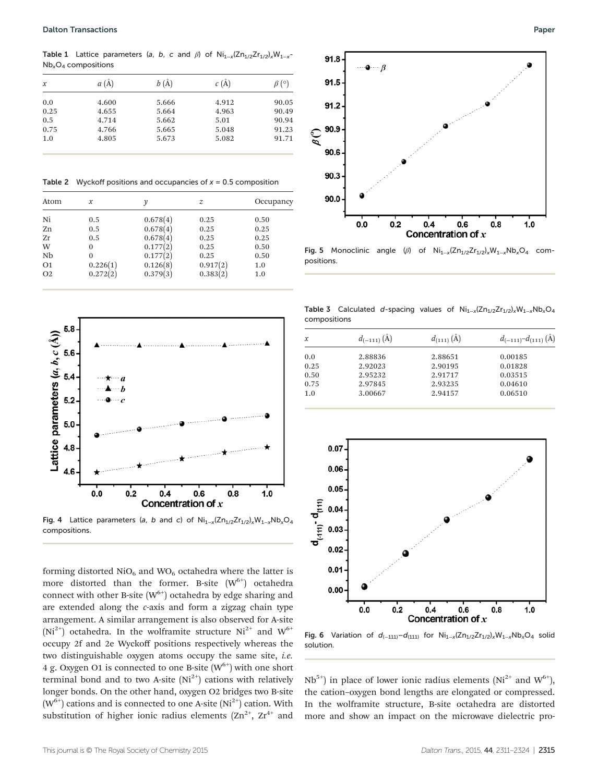Table 1 Lattice parameters (a, b, c and  $\beta$ ) of Ni<sub>1-x</sub>(Zn<sub>1/2</sub>Zr<sub>1/2</sub>)<sub>x</sub>W<sub>1-x</sub>- $Nb<sub>x</sub>O<sub>4</sub>$  compositions

| $\mathcal{X}$ | $a(\AA)$ | $b(\AA)$ | $c(\AA)$ | $\beta$ (°) |
|---------------|----------|----------|----------|-------------|
| 0.0           | 4.600    | 5.666    | 4.912    | 90.05       |
| 0.25          | 4.655    | 5.664    | 4.963    | 90.49       |
| 0.5           | 4.714    | 5.662    | 5.01     | 90.94       |
| 0.75          | 4.766    | 5.665    | 5.048    | 91.23       |
| 1.0           | 4.805    | 5.673    | 5.082    | 91.71       |

**Table 2** Wyckoff positions and occupancies of  $x = 0.5$  composition

| Atom           | x        | ν        | z        | Occupancy |
|----------------|----------|----------|----------|-----------|
| Ni             | 0.5      | 0.678(4) | 0.25     | 0.50      |
| Zn             | 0.5      | 0.678(4) | 0.25     | 0.25      |
| Zr             | 0.5      | 0.678(4) | 0.25     | 0.25      |
| W              | $\Omega$ | 0.177(2) | 0.25     | 0.50      |
| Nb             | $\Omega$ | 0.177(2) | 0.25     | 0.50      |
| O <sub>1</sub> | 0.226(1) | 0.126(8) | 0.917(2) | 1.0       |
| O <sub>2</sub> | 0.272(2) | 0.379(3) | 0.383(2) | 1.0       |



Fig. 4 Lattice parameters (a, b and c) of  $\text{Ni}_{1-x}(\text{Zn}_{1/2}\text{Zr}_{1/2})$ <sub>x</sub>W<sub>1-x</sub>Nb<sub>x</sub>O<sub>4</sub> compositions.

forming distorted  $NiO_6$  and  $WO_6$  octahedra where the latter is more distorted than the former. B-site  $(W^{6+})$  octahedra connect with other B-site  $(W^{6+})$  octahedra by edge sharing and are extended along the *c*-axis and form a zigzag chain type arrangement. A similar arrangement is also observed for A-site  $(Ni^{2+})$  octahedra. In the wolframite structure  $Ni^{2+}$  and  $W^{6+}$ occupy 2f and 2e Wyckoff positions respectively whereas the two distinguishable oxygen atoms occupy the same site, *i.e.* 4 g. Oxygen O1 is connected to one B-site  $(W^{6+})$  with one short terminal bond and to two A-site  $(Ni^{2+})$  cations with relatively longer bonds. On the other hand, oxygen O2 bridges two B-site  $(W<sup>6+</sup>)$  cations and is connected to one A-site  $(Ni<sup>2+</sup>)$  cation. With substitution of higher ionic radius elements  $(Zn^{2+}, Zr^{4+})$  and



Fig. 5 Monoclinic angle ( $\beta$ ) of Ni<sub>1-x</sub>(Zn<sub>1/2</sub>Zr<sub>1/2</sub>)<sub>x</sub>W<sub>1-x</sub>Nb<sub>x</sub>O<sub>4</sub> compositions.

Table 3 Calculated d-spacing values of  $Ni_{1-x}(Zn_{1/2}Zr_{1/2})$ <sub>x</sub>W<sub>1−x</sub>Nb<sub>x</sub>O<sub>4</sub> compositions

| $\mathcal{X}$ | $d_{(-111)} (\AA)$ | $d_{(111)} (\AA)$ | $d_{(-111)}-d_{(111)}$ (A) |
|---------------|--------------------|-------------------|----------------------------|
| 0.0           | 2.88836            | 2.88651           | 0.00185                    |
| 0.25          | 2.92023            | 2.90195           | 0.01828                    |
| 0.50          | 2.95232            | 2.91717           | 0.03515                    |
| 0.75          | 2.97845            | 2.93235           | 0.04610                    |
| 1.0           | 3.00667            | 2.94157           | 0.06510                    |



Fig. 6 Variation of  $d_{(-111)}-d_{(111)}$  for  $Ni_{1-x}(Zn_{1/2}Zr_{1/2})$ <sub>x</sub>W<sub>1-x</sub>Nb<sub>x</sub>O<sub>4</sub> solid solution.

 $Nb<sup>5+</sup>$ ) in place of lower ionic radius elements ( $Ni<sup>2+</sup>$  and  $W<sup>6+</sup>$ ), the cation–oxygen bond lengths are elongated or compressed. In the wolframite structure, B-site octahedra are distorted more and show an impact on the microwave dielectric pro-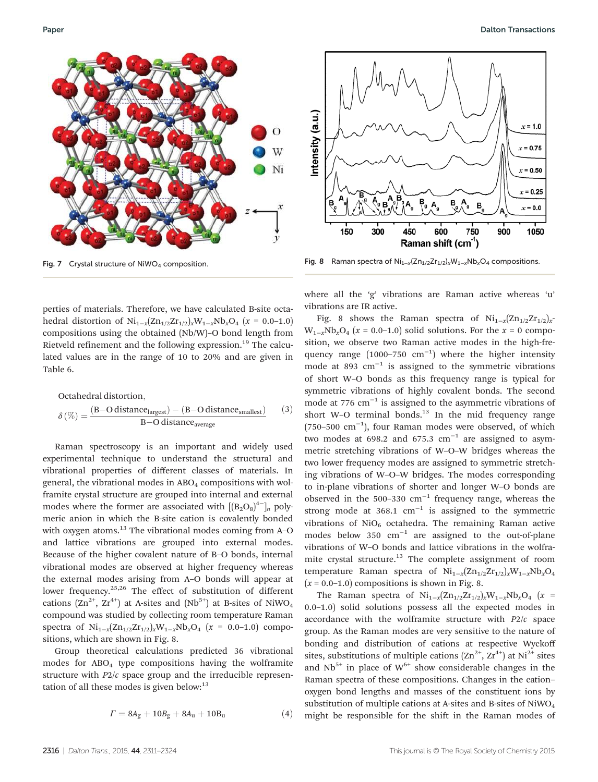

perties of materials. Therefore, we have calculated B-site octahedral distortion of  $Ni_{1-x}(Zn_{1/2}Zr_{1/2})_xW_{1-x}Nb_xO_4$  (*x* = 0.0–1.0) compositions using the obtained (Nb/W)–O bond length from Rietveld refinement and the following expression.<sup>19</sup> The calculated values are in the range of 10 to 20% and are given in Table 6.

Octahedral distortion,

\n
$$
\delta(\%) = \frac{(B - O \, distance_{largest}) - (B - O \, distance_{smallest})}{B - O \, distance_{average}} \qquad (3)
$$

Raman spectroscopy is an important and widely used experimental technique to understand the structural and vibrational properties of different classes of materials. In general, the vibrational modes in  $ABO<sub>4</sub>$  compositions with wolframite crystal structure are grouped into internal and external modes where the former are associated with  $[(B_2O_8)^{4-}]_n$  polymeric anion in which the B-site cation is covalently bonded with oxygen atoms.<sup>13</sup> The vibrational modes coming from A-O and lattice vibrations are grouped into external modes. Because of the higher covalent nature of B–O bonds, internal vibrational modes are observed at higher frequency whereas the external modes arising from A–O bonds will appear at lower frequency.<sup>25,26</sup> The effect of substitution of different cations  $(Zn^{2+}, Zr^{4+})$  at A-sites and  $(Nb^{5+})$  at B-sites of NiWO<sub>4</sub> compound was studied by collecting room temperature Raman spectra of  $\text{Ni}_{1-x}(\text{Zn}_{1/2}\text{Zr}_{1/2})_x\text{W}_{1-x}\text{Nb}_x\text{O}_4$  (*x* = 0.0–1.0) compositions, which are shown in Fig. 8.

Group theoretical calculations predicted 36 vibrational modes for ABO<sup>4</sup> type compositions having the wolframite structure with *P*2/*c* space group and the irreducible representation of all these modes is given below: $13$ 

$$
\Gamma = 8A_g + 10B_g + 8A_u + 10B_u \tag{4}
$$



Fig. 7 Crystal structure of NiWO<sub>4</sub> composition. Fig. 8 Raman spectra of Ni<sub>1−x</sub>(Zn<sub>1/2</sub>Zr<sub>1/2</sub>)<sub>x</sub>W<sub>1−x</sub>Nb<sub>x</sub>O<sub>4</sub> compositions.

where all the 'g' vibrations are Raman active whereas 'u' vibrations are IR active.

Fig. 8 shows the Raman spectra of  $\text{Ni}_{1-x}(\text{Zn}_{1/2}\text{Zr}_{1/2})$ <sub>x</sub>  $W_{1-x}Nb_xO_4$  ( $x = 0.0-1.0$ ) solid solutions. For the  $x = 0$  composition, we observe two Raman active modes in the high-frequency range  $(1000-750 \text{ cm}^{-1})$  where the higher intensity mode at 893 cm−<sup>1</sup> is assigned to the symmetric vibrations of short W–O bonds as this frequency range is typical for symmetric vibrations of highly covalent bonds. The second mode at  $776 \text{ cm}^{-1}$  is assigned to the asymmetric vibrations of short W–O terminal bonds. $13$  In the mid frequency range (750–500 cm−<sup>1</sup> ), four Raman modes were observed, of which two modes at 698.2 and 675.3  $cm^{-1}$  are assigned to asymmetric stretching vibrations of W–O–W bridges whereas the two lower frequency modes are assigned to symmetric stretching vibrations of W–O–W bridges. The modes corresponding to in-plane vibrations of shorter and longer W–O bonds are observed in the 500–330 cm−<sup>1</sup> frequency range, whereas the strong mode at 368.1  $cm^{-1}$  is assigned to the symmetric vibrations of  $NiO<sub>6</sub>$  octahedra. The remaining Raman active modes below 350 cm−<sup>1</sup> are assigned to the out-of-plane vibrations of W–O bonds and lattice vibrations in the wolframite crystal structure.<sup>13</sup> The complete assignment of room temperature Raman spectra of Ni1−*<sup>x</sup>* (Zn1/2Zr1/2)*x*W1−*x*Nb*x*O<sup>4</sup>  $(x = 0.0-1.0)$  compositions is shown in Fig. 8.

The Raman spectra of  $Ni_{1-x}(Zn_{1/2}Zr_{1/2})_xW_{1-x}Nb_xO_4$  (*x* = 0.0–1.0) solid solutions possess all the expected modes in accordance with the wolframite structure with *P*2/*c* space group. As the Raman modes are very sensitive to the nature of bonding and distribution of cations at respective Wyckoff sites, substitutions of multiple cations  $(Zn^{2+}, Zr^{4+})$  at Ni<sup>2+</sup> sites and  $Nb<sup>5+</sup>$  in place of  $W<sup>6+</sup>$  show considerable changes in the Raman spectra of these compositions. Changes in the cation– oxygen bond lengths and masses of the constituent ions by substitution of multiple cations at A-sites and B-sites of NiWO<sub>4</sub> might be responsible for the shift in the Raman modes of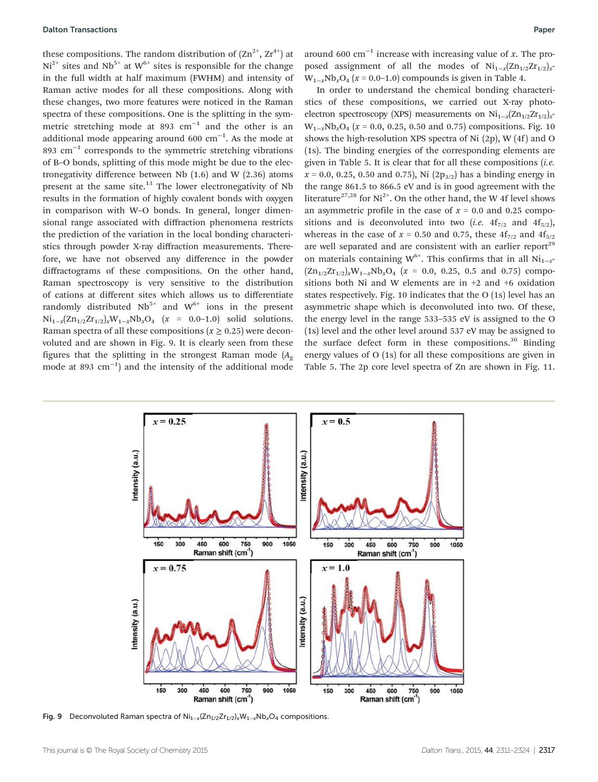these compositions. The random distribution of  $(Zn^{2+}, Zr^{4+})$  at  $Ni<sup>2+</sup>$  sites and  $Nb<sup>5+</sup>$  at  $W<sup>6+</sup>$  sites is responsible for the change in the full width at half maximum (FWHM) and intensity of Raman active modes for all these compositions. Along with these changes, two more features were noticed in the Raman spectra of these compositions. One is the splitting in the symmetric stretching mode at 893  $cm^{-1}$  and the other is an additional mode appearing around 600  $\text{cm}^{-1}$ . As the mode at 893 cm<sup>-1</sup> corresponds to the symmetric stretching vibrations of B–O bonds, splitting of this mode might be due to the electronegativity difference between Nb (1.6) and W (2.36) atoms present at the same site. $^{13}$  The lower electronegativity of Nb results in the formation of highly covalent bonds with oxygen in comparison with W–O bonds. In general, longer dimensional range associated with diffraction phenomena restricts the prediction of the variation in the local bonding characteristics through powder X-ray diffraction measurements. Therefore, we have not observed any difference in the powder diffractograms of these compositions. On the other hand, Raman spectroscopy is very sensitive to the distribution of cations at different sites which allows us to differentiate randomly distributed  $Nb^{5+}$  and  $W^{6+}$  ions in the present Ni1−*<sup>x</sup>* (Zn1/2Zr1/2)*x*W1−*x*Nb*x*O<sup>4</sup> (*x* = 0.0–1.0) solid solutions. Raman spectra of all these compositions  $(x \ge 0.25)$  were deconvoluted and are shown in Fig. 9. It is clearly seen from these figures that the splitting in the strongest Raman mode  $(A_{\varphi})$ mode at 893 cm−<sup>1</sup> ) and the intensity of the additional mode

around 600 cm−<sup>1</sup> increase with increasing value of *x*. The proposed assignment of all the modes of Ni<sub>1−*x*</sub>(Zn<sub>1/2</sub>Zr<sub>1/2</sub>)<sub>*x*</sub>  $W_{1-x}Nb_xO_4$  ( $x = 0.0-1.0$ ) compounds is given in Table 4.

In order to understand the chemical bonding characteristics of these compositions, we carried out X-ray photoelectron spectroscopy (XPS) measurements on Ni<sub>1−*x*</sub>(Zn<sub>1/2</sub>Zr<sub>1/2</sub>)<sub>*x*</sub> W1−*x*Nb*x*O<sup>4</sup> (*x* = 0.0, 0.25, 0.50 and 0.75) compositions. Fig. 10 shows the high-resolution XPS spectra of Ni  $(2p)$ , W $(4f)$  and O (1s). The binding energies of the corresponding elements are given in Table 5. It is clear that for all these compositions (*i.e.*  $x = 0.0, 0.25, 0.50$  and 0.75), Ni  $(2p_{3/2})$  has a binding energy in the range 861.5 to 866.5 eV and is in good agreement with the literature<sup>27,28</sup> for Ni<sup>2+</sup>. On the other hand, the W 4f level shows an asymmetric profile in the case of  $x = 0.0$  and 0.25 compositions and is deconvoluted into two (*i.e.*  $4f_{7/2}$  and  $4f_{5/2}$ ), whereas in the case of  $x = 0.50$  and 0.75, these  $4f_{7/2}$  and  $4f_{5/2}$ are well separated and are consistent with an earlier report<sup>29</sup> on materials containing W<sup>6+</sup>. This confirms that in all Ni<sub>1−*x*</sub></sub>  $(Zn_{1/2}Zr_{1/2})$ <sub>*x*</sub>W<sub>1−*x*</sub>Nb<sub>*x*</sub>O<sub>4</sub> (*x* = 0.0, 0.25, 0.5 and 0.75) compositions both Ni and W elements are in +2 and +6 oxidation states respectively. Fig. 10 indicates that the O (1s) level has an asymmetric shape which is deconvoluted into two. Of these, the energy level in the range 533–535 eV is assigned to the O (1s) level and the other level around 537 eV may be assigned to the surface defect form in these compositions. $30$  Binding energy values of O (1s) for all these compositions are given in Table 5. The 2p core level spectra of Zn are shown in Fig. 11.



Fig. 9 Deconvoluted Raman spectra of  $\text{Ni}_{1-x}(\text{Zn}_{1/2}\text{Zr}_{1/2})$ <sub>x</sub>W<sub>1-x</sub>Nb<sub>x</sub>O<sub>4</sub> compositions.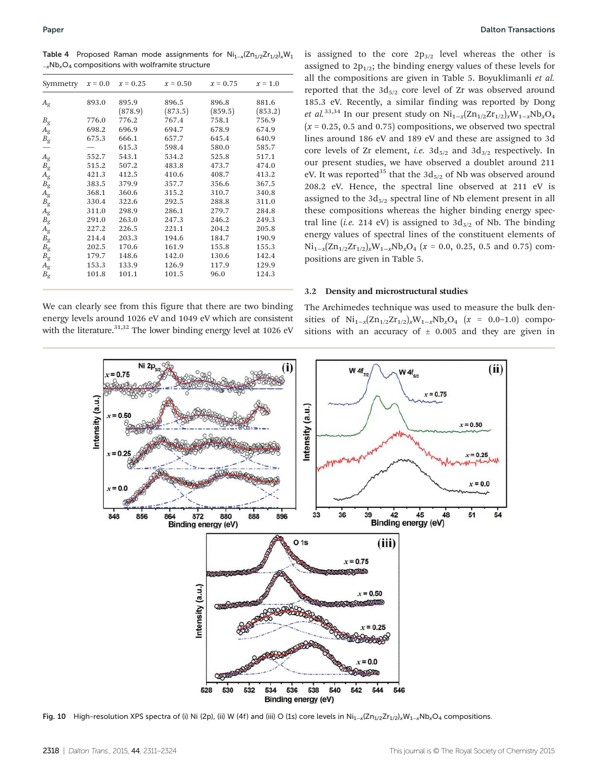Table 4 Proposed Raman mode assignments for  $Ni_{1-x}(Zn_{1/2}Zr_{1/2})$ <sub>x</sub>W<sub>1</sub> <sup>−</sup>xNbxO<sup>4</sup> compositions with wolframite structure

| Symmetry                   | $x = 0.0$ | $x = 0.25$       | $x = 0.50$       | $x = 0.75$       | $x = 1.0$        |
|----------------------------|-----------|------------------|------------------|------------------|------------------|
| $A_{\rm g}$                | 893.0     | 895.9<br>(878.9) | 896.5<br>(873.5) | 896.8<br>(859.5) | 881.6<br>(853.2) |
| $B_{\rm g}$                | 776.0     | 776.2            | 767.4            | 758.1            | 756.9            |
|                            | 698.2     | 696.9            | 694.7            | 678.9            | 674.9            |
| $A_{\rm g}$<br>$B_{\rm g}$ | 675.3     | 666.1            | 657.7            | 645.4            | 640.9            |
|                            |           | 615.3            | 598.4            | 580.0            | 585.7            |
| $A_{\rm g}$                | 552.7     | 543.1            | 534.2            | 525.8            | 517.1            |
| $B_{\rm g}$                | 515.2     | 507.2            | 483.8            | 473.7            | 474.0            |
| $A_{\rm g}$                | 421.3     | 412.5            | 410.6            | 408.7            | 413.2            |
| $B_{\rm g}$                | 383.5     | 379.9            | 357.7            | 356.6            | 367.5            |
|                            | 368.1     | 360.6            | 315.2            | 310.7            | 340.8            |
| $A_{\rm g} \ B_{\rm g}$    | 330.4     | 322.6            | 292.5            | 288.8            | 311.0            |
| $A_{\rm g}$                | 311.0     | 298.9            | 286.1            | 279.7            | 284.8            |
| $B_{\rm g}$                | 291.0     | 263.0            | 247.3            | 246.2            | 249.3            |
| $A_{\rm g}$                | 227.2     | 226.5            | 221.1            | 204.2            | 205.8            |
| $B_{\rm g}$                | 214.4     | 203.3            | 194.6            | 184.7            | 190.9            |
| $B_{\rm g}$                | 202.5     | 170.6            | 161.9            | 155.8            | 155.3            |
| $B_{\rm g}$                | 179.7     | 148.6            | 142.0            | 130.6            | 142.4            |
| $A_{\rm g}$                | 153.3     | 133.9            | 126.9            | 117.9            | 129.9            |
| $B_{\rm g}$                | 101.8     | 101.1            | 101.5            | 96.0             | 124.3            |

is assigned to the core  $2p_{3/2}$  level whereas the other is assigned to  $2p_{1/2}$ ; the binding energy values of these levels for all the compositions are given in Table 5. Boyuklimanli *et al.* reported that the  $3d_{5/2}$  core level of Zr was observed around 185.3 eV. Recently, a similar finding was reported by Dong *et al.*<sup>33,34</sup> In our present study on  $Ni_{1-x}(Zn_{1/2}Zr_{1/2})$ <sub>*x*</sub>W<sub>1−*x*</sub>Nb<sub>*x*</sub>O<sub>4</sub>  $(x = 0.25, 0.5, 0.75)$  compositions, we observed two spectral lines around 186 eV and 189 eV and these are assigned to 3d core levels of Zr element, *i.e.*  $3d_{5/2}$  and  $3d_{3/2}$  respectively. In our present studies, we have observed a doublet around 211 eV. It was reported<sup>35</sup> that the  $3d_{5/2}$  of Nb was observed around 208.2 eV. Hence, the spectral line observed at 211 eV is assigned to the  $3d_{5/2}$  spectral line of Nb element present in all these compositions whereas the higher binding energy spectral line (*i.e.* 214 eV) is assigned to  $3d_{3/2}$  of Nb. The binding energy values of spectral lines of the constituent elements of Ni1−*<sup>x</sup>* (Zn1/2Zr1/2)*x*W1−*x*Nb*x*O<sup>4</sup> (*x* = 0.0, 0.25, 0.5 and 0.75) compositions are given in Table 5.

#### 3.2 Density and microstructural studies

We can clearly see from this figure that there are two binding energy levels around 1026 eV and 1049 eV which are consistent with the literature.<sup>31,32</sup> The lower binding energy level at 1026 eV

The Archimedes technique was used to measure the bulk densities of  $Ni_{1-x}(Zn_{1/2}Zr_{1/2})_xW_{1-x}Nb_xO_4$  (*x* = 0.0–1.0) compositions with an accuracy of  $\pm$  0.005 and they are given in



Fig. 10 High-resolution XPS spectra of (i) Ni (2p), (ii) W (4f) and (iii) O (1s) core levels in Ni<sub>1-x</sub>(Zn<sub>1/2</sub>Zr<sub>1/2</sub>)<sub>x</sub>W<sub>1-x</sub>Nb<sub>x</sub>O<sub>4</sub> compositions.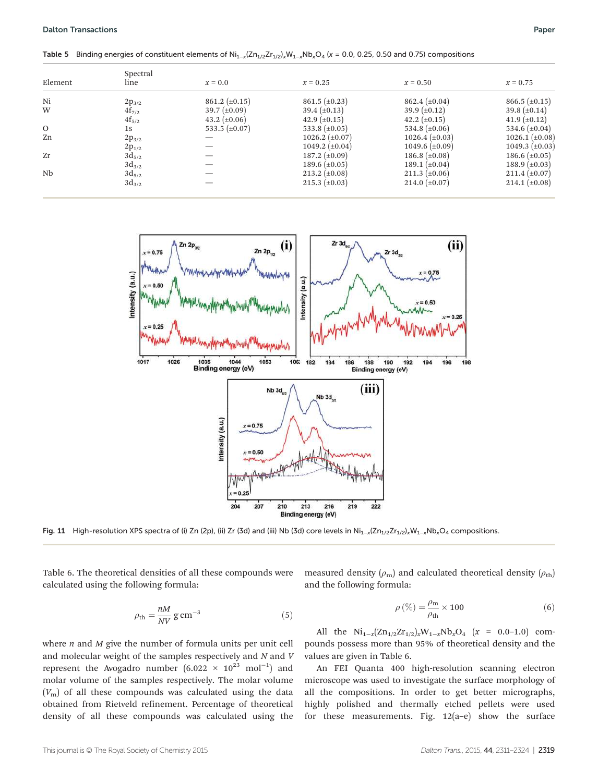Table 5 Binding energies of constituent elements of Ni<sub>1−x</sub>(Zn<sub>1/2</sub>Zr<sub>1/2</sub>)<sub>x</sub>W<sub>1−x</sub>Nb<sub>x</sub>O<sub>4</sub> (x = 0.0, 0.25, 0.50 and 0.75) compositions

| Element | Spectral<br>line | $x=0.0$              | $x = 0.25$           | $x = 0.50$            | $x = 0.75$            |
|---------|------------------|----------------------|----------------------|-----------------------|-----------------------|
| Ni      | $2p_{3/2}$       | $861.2 \ (\pm 0.15)$ | $861.5 \ (\pm 0.23)$ | 862.4 $(\pm 0.04)$    | $866.5 \ (\pm 0.15)$  |
| W       | $4f_{7/2}$       | $39.7 \ (\pm 0.09)$  | 39.4 $(\pm 0.13)$    | 39.9 $(\pm 0.12)$     | 39.8 $(\pm 0.14)$     |
|         | $4f_{5/2}$       | 43.2 $(\pm 0.06)$    | 42.9 $(\pm 0.15)$    | 42.2 $(\pm 0.15)$     | 41.9 $(\pm 0.12)$     |
| O       | 1s               | 533.5 $(\pm 0.07)$   | 533.8 $(\pm 0.05)$   | 534.8 $(\pm 0.06)$    | 534.6 $(\pm 0.04)$    |
| Zn      | $2p_{3/2}$       |                      | 1026.2 $(\pm 0.07)$  | $1026.4 \ (\pm 0.03)$ | $1026.1 \ (\pm 0.08)$ |
|         | $2p_{1/2}$       |                      | 1049.2 $(\pm 0.04)$  | 1049.6 $(\pm 0.09)$   | 1049.3 $(\pm 0.03)$   |
| Zr      | $3d_{5/2}$       |                      | 187.2 $(\pm 0.09)$   | 186.8 $(\pm 0.08)$    | 186.6 $(\pm 0.05)$    |
|         | $3d_{3/2}$       |                      | 189.6 $(\pm 0.05)$   | 189.1 $(\pm 0.04)$    | 188.9 $(\pm 0.03)$    |
| Nb      | $3d_{5/2}$       |                      | $213.2 \ (\pm 0.08)$ | $211.3 \ (\pm 0.06)$  | $211.4 \ (\pm 0.07)$  |
|         | $3d_{3/2}$       |                      | $215.3 \ (\pm 0.03)$ | 214.0 $(\pm 0.07)$    | $214.1 \ (\pm 0.08)$  |
|         |                  |                      |                      |                       |                       |



Fig. 11 High-resolution XPS spectra of (i) Zn (2p), (ii) Zr (3d) and (iii) Nb (3d) core levels in Ni<sub>1−x</sub>(Zn<sub>1/2</sub>Zr<sub>1/2</sub>)<sub>x</sub>W<sub>1-x</sub>Nb<sub>x</sub>O<sub>4</sub> compositions.

Table 6. The theoretical densities of all these compounds were calculated using the following formula:

$$
\rho_{\rm th} = \frac{nM}{NV} \,\mathrm{g\,cm^{-3}}\tag{5}
$$

where *n* and *M* give the number of formula units per unit cell and molecular weight of the samples respectively and *N* and *V* represent the Avogadro number  $(6.022 \times 10^{23} \text{ mol}^{-1})$  and molar volume of the samples respectively. The molar volume  $(V<sub>m</sub>)$  of all these compounds was calculated using the data obtained from Rietveld refinement. Percentage of theoretical density of all these compounds was calculated using the measured density  $(\rho_m)$  and calculated theoretical density  $(\rho_{th})$ and the following formula:

$$
\rho\left(\%\right) = \frac{\rho_{\rm m}}{\rho_{\rm th}} \times 100\tag{6}
$$

All the  $Ni_{1-x}(Zn_{1/2}Zr_{1/2})$ <sub>*x*</sub>W<sub>1−*x*</sub>Nb<sub>*x*</sub>O<sub>4</sub> (*x* = 0.0–1.0) compounds possess more than 95% of theoretical density and the values are given in Table 6.

An FEI Quanta 400 high-resolution scanning electron microscope was used to investigate the surface morphology of all the compositions. In order to get better micrographs, highly polished and thermally etched pellets were used for these measurements. Fig.  $12(a-e)$  show the surface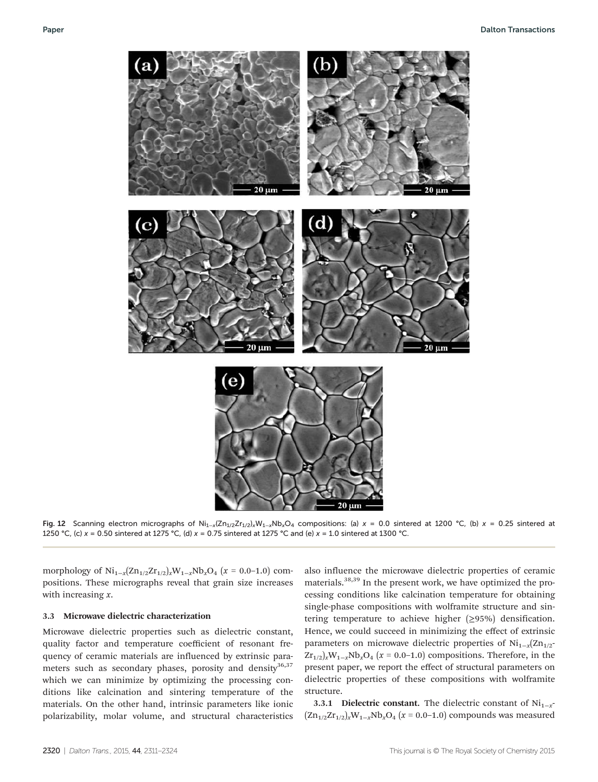

Fig. 12 Scanning electron micrographs of Ni<sub>1-x</sub>(Zn<sub>1/2</sub>Zr<sub>1/2</sub>)<sub>x</sub>W<sub>1-x</sub>Nb<sub>x</sub>O<sub>4</sub> compositions: (a) x = 0.0 sintered at 1200 °C, (b) x = 0.25 sintered at 1250 °C, (c)  $x = 0.50$  sintered at 1275 °C, (d)  $x = 0.75$  sintered at 1275 °C and (e)  $x = 1.0$  sintered at 1300 °C.

morphology of Ni<sub>1−*x*</sub>(Zn<sub>1/2</sub>Zr<sub>1/2</sub>)<sub>*x*</sub>W<sub>1−*x*</sub>Nb<sub>*x*</sub>O<sub>4</sub> (*x* = 0.0−1.0) compositions. These micrographs reveal that grain size increases with increasing *x*.

#### 3.3 Microwave dielectric characterization

Microwave dielectric properties such as dielectric constant, quality factor and temperature coefficient of resonant frequency of ceramic materials are influenced by extrinsic parameters such as secondary phases, porosity and density<sup>36,37</sup> which we can minimize by optimizing the processing conditions like calcination and sintering temperature of the materials. On the other hand, intrinsic parameters like ionic polarizability, molar volume, and structural characteristics

also influence the microwave dielectric properties of ceramic materials.38,39 In the present work, we have optimized the processing conditions like calcination temperature for obtaining single-phase compositions with wolframite structure and sintering temperature to achieve higher (≥95%) densification. Hence, we could succeed in minimizing the effect of extrinsic parameters on microwave dielectric properties of Ni<sub>1-*x*</sub>(Zn<sub>1/2</sub>- $Zr_{1/2}$ <sub>*x*</sub>W<sub>1−*x*</sub>Nb<sub>*x*</sub>O<sub>4</sub> (*x* = 0.0–1.0) compositions. Therefore, in the present paper, we report the effect of structural parameters on dielectric properties of these compositions with wolframite structure.

3.3.1 Dielectric constant. The dielectric constant of Ni<sub>1−*x*</sub> (Zn1/2Zr1/2)*x*W1−*x*Nb*x*O<sup>4</sup> (*x* = 0.0–1.0) compounds was measured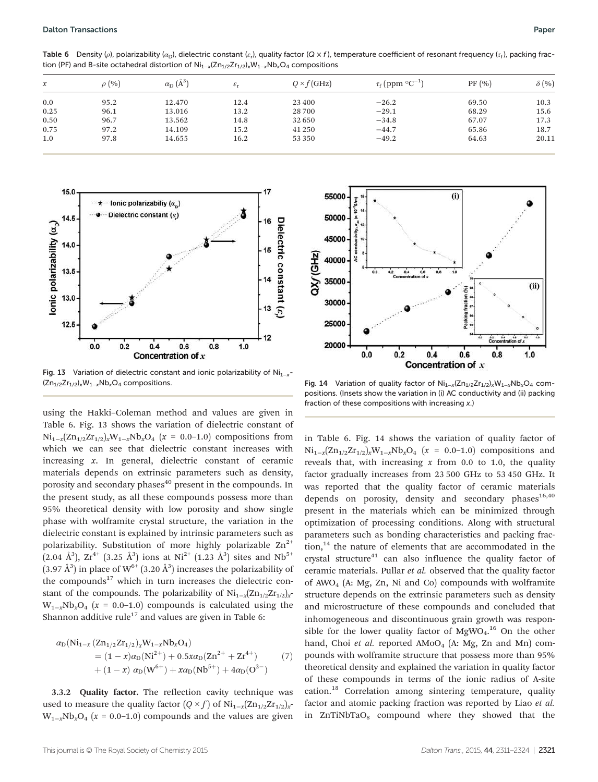**Table 6** Density (ρ), polarizability ( $\alpha_{\rm D}$ ), dielectric constant ( $\varepsilon_{\rm r}$ ), quality factor (Q x f), temperature coefficient of resonant frequency ( $\tau_{\rm r}$ ), packing fraction (PF) and B-site octahedral distortion of  $Ni_{1-x}(Zn_{1/2}Zr_{1/2})$ <sub>x</sub>W<sub>1-x</sub>Nb<sub>x</sub>O<sub>4</sub> compositions

| $\mathcal{X}$ | $\rho$ (%) | $\alpha_{\rm D}$ $(\AA^{3})$ | $\varepsilon_{\rm r}$ | $Q \times f$ (GHz) | $\tau_{\rm f}$ (ppm $^{\circ}$ C <sup>-1</sup> ) | PF(%) | $\delta$ (%) |
|---------------|------------|------------------------------|-----------------------|--------------------|--------------------------------------------------|-------|--------------|
| 0.0           | 95.2       | 12.470                       | 12.4                  | 23 400             | $-26.2$                                          | 69.50 | 10.3         |
| 0.25          | 96.1       | 13.016                       | 13.2                  | 28700              | $-29.1$                                          | 68.29 | 15.6         |
| 0.50          | 96.7       | 13.562                       | 14.8                  | 32 650             | $-34.8$                                          | 67.07 | 17.3         |
| 0.75          | 97.2       | 14.109                       | 15.2                  | 41 250             | $-44.7$                                          | 65.86 | 18.7         |
| 1.0           | 97.8       | 14.655                       | 16.2                  | 53 350             | $-49.2$                                          | 64.63 | 20.11        |



Fig. 13 Variation of dielectric constant and ionic polarizability of Ni<sub>1−x</sub>-(Zn<sub>1/2</sub>Zr<sub>1/2</sub>)<sub>x</sub>W<sub>1-x</sub>Nb<sub>x</sub>O<sub>4</sub> compositions. Fig. 14 Variation of quality factor of Ni<sub>1−x</sub>(Zn<sub>1/2</sub>Zr<sub>1/2</sub>)<sub>x</sub>W<sub>1-x</sub>Nb<sub>x</sub>O<sub>4</sub> com-

using the Hakki–Coleman method and values are given in Table 6. Fig. 13 shows the variation of dielectric constant of  $Ni_{1-x}(Zn_{1/2}Zr_{1/2})$ <sub>*x*</sub>W<sub>1−*x*</sub>Nb<sub>*x*</sub>O<sub>4</sub> (*x* = 0.0−1.0) compositions from which we can see that dielectric constant increases with increasing *x*. In general, dielectric constant of ceramic materials depends on extrinsic parameters such as density, porosity and secondary phases<sup>40</sup> present in the compounds. In the present study, as all these compounds possess more than 95% theoretical density with low porosity and show single phase with wolframite crystal structure, the variation in the dielectric constant is explained by intrinsic parameters such as polarizability. Substitution of more highly polarizable  $Zn^{2+}$  $(2.04 \text{ Å}^3)$ ,  $\text{Zr}^{4+}$   $(3.25 \text{ Å}^3)$  ions at Ni<sup>2+</sup>  $(1.23 \text{ Å}^3)$  sites and Nb<sup>5+</sup> (3.97 Å<sup>3</sup>) in place of  $W^{6+}$  (3.20 Å<sup>3</sup>) increases the polarizability of the compounds $17$  which in turn increases the dielectric constant of the compounds. The polarizability of Ni<sub>1-*x*</sub>(Zn<sub>1/2</sub>Zr<sub>1/2</sub>)<sub>*x*</sub>  $W_{1-x}Nb_xO_4$  ( $x = 0.0-1.0$ ) compounds is calculated using the Shannon additive rule<sup>17</sup> and values are given in Table 6:

$$
\alpha_{D}(Ni_{1-x} (Zn_{1/2}Zr_{1/2})_{x}W_{1-x}Nb_{x}O_{4})
$$
  
=  $(1-x)\alpha_{D}(Ni^{2+}) + 0.5x\alpha_{D}(Zn^{2+} + Zr^{4+})$  (7)  
+  $(1-x)\alpha_{D}(W^{6+}) + x\alpha_{D}(Nb^{5+}) + 4\alpha_{D}(O^{2-})$ 

3.3.2 Quality factor. The reflection cavity technique was used to measure the quality factor  $(Q \times f)$  of Ni<sub>1−*x*</sub>(Zn<sub>1/2</sub>Zr<sub>1/2)*x*<sup>-</sup></sub>  $W_{1-x}Nb_xO_4$  ( $x = 0.0-1.0$ ) compounds and the values are given



positions. (Insets show the variation in (i) AC conductivity and (ii) packing fraction of these compositions with increasing x.)

in Table 6. Fig. 14 shows the variation of quality factor of  $Ni_{1-x}(Zn_{1/2}Zr_{1/2})$ <sub>*x*</sub>W<sub>1−*x*</sub>Nb<sub>*x*</sub>O<sub>4</sub> (*x* = 0.0−1.0) compositions and reveals that, with increasing *x* from 0.0 to 1.0, the quality factor gradually increases from 23 500 GHz to 53 450 GHz. It was reported that the quality factor of ceramic materials depends on porosity, density and secondary phases $16,40$ present in the materials which can be minimized through optimization of processing conditions. Along with structural parameters such as bonding characteristics and packing fraction,<sup>14</sup> the nature of elements that are accommodated in the crystal structure $41$  can also influence the quality factor of ceramic materials. Pullar *et al.* observed that the quality factor of  $AWO<sub>4</sub>$  (A: Mg, Zn, Ni and Co) compounds with wolframite structure depends on the extrinsic parameters such as density and microstructure of these compounds and concluded that inhomogeneous and discontinuous grain growth was responsible for the lower quality factor of  $MgWO<sub>4</sub>$ .<sup>16</sup> On the other hand, Choi *et al.* reported AMoO<sub>4</sub> (A: Mg, Zn and Mn) compounds with wolframite structure that possess more than 95% theoretical density and explained the variation in quality factor of these compounds in terms of the ionic radius of A-site cation.<sup>18</sup> Correlation among sintering temperature, quality factor and atomic packing fraction was reported by Liao *et al.* in  $ZnTiNbTaO<sub>8</sub>$  compound where they showed that the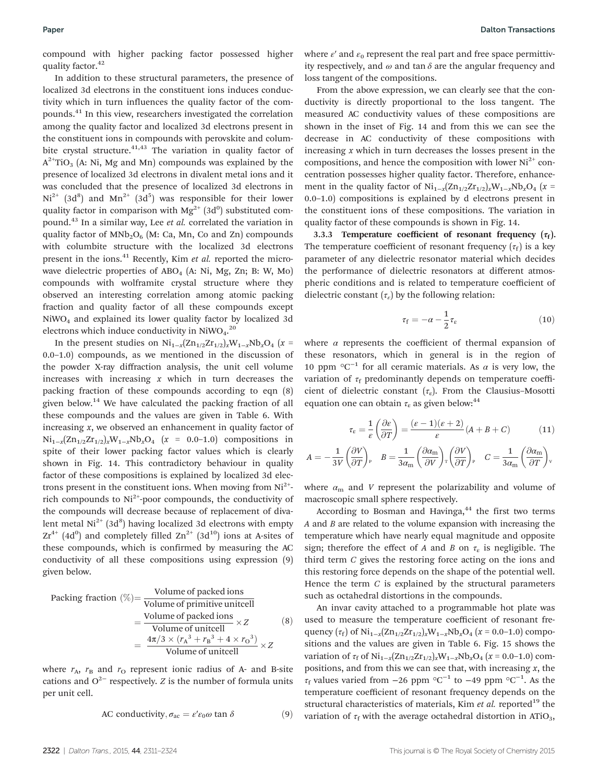compound with higher packing factor possessed higher quality factor.<sup>42</sup>

In addition to these structural parameters, the presence of localized 3d electrons in the constituent ions induces conductivity which in turn influences the quality factor of the compounds.<sup>41</sup> In this view, researchers investigated the correlation among the quality factor and localized 3d electrons present in the constituent ions in compounds with perovskite and columbite crystal structure. $41,43$  The variation in quality factor of  $A^{2+}TiO<sub>3</sub>$  (A: Ni, Mg and Mn) compounds was explained by the presence of localized 3d electrons in divalent metal ions and it was concluded that the presence of localized 3d electrons in  $Ni^{2+}$  (3d<sup>8</sup>) and  $Mn^{2+}$  (3d<sup>5</sup>) was responsible for their lower quality factor in comparison with  $Mg^{2+}$  (3d<sup>0</sup>) substituted compound.<sup>43</sup> In a similar way, Lee *et al.* correlated the variation in quality factor of  $MNb<sub>2</sub>O<sub>6</sub>$  (M: Ca, Mn, Co and Zn) compounds with columbite structure with the localized 3d electrons present in the ions.<sup>41</sup> Recently, Kim *et al.* reported the microwave dielectric properties of  $ABO<sub>4</sub>$  (A: Ni, Mg, Zn; B: W, Mo) compounds with wolframite crystal structure where they observed an interesting correlation among atomic packing fraction and quality factor of all these compounds except NiWO<sup>4</sup> and explained its lower quality factor by localized 3d electrons which induce conductivity in NiWO<sub>4</sub>.<sup>20</sup>

In the present studies on  $\text{Ni}_{1-x}(\text{Zn}_{1/2}\text{Zr}_{1/2})$ *x* $\text{W}_{1-x}\text{Nb}_x\text{O}_4$  (*x* = 0.0–1.0) compounds, as we mentioned in the discussion of the powder X-ray diffraction analysis, the unit cell volume increases with increasing *x* which in turn decreases the packing fraction of these compounds according to eqn (8) given below.<sup>14</sup> We have calculated the packing fraction of all these compounds and the values are given in Table 6. With increasing *x*, we observed an enhancement in quality factor of Ni1−*<sup>x</sup>* (Zn1/2Zr1/2)*x*W1−*x*Nb*x*O<sup>4</sup> (*x* = 0.0–1.0) compositions in spite of their lower packing factor values which is clearly shown in Fig. 14. This contradictory behaviour in quality factor of these compositions is explained by localized 3d electrons present in the constituent ions. When moving from  $Ni<sup>2+</sup>$ rich compounds to  $Ni^{2+}$ -poor compounds, the conductivity of the compounds will decrease because of replacement of divalent metal  $Ni^{2+}$  (3d<sup>8</sup>) having localized 3d electrons with empty  $Zr^{4+}$  (4d<sup>0</sup>) and completely filled  $Zn^{2+}$  (3d<sup>10</sup>) ions at A-sites of these compounds, which is confirmed by measuring the AC conductivity of all these compositions using expression (9) given below.

Packing fraction (
$$
\%
$$
) = Volume of packed ions  
= Volume of primitive unitcell  
= Volume of packed ions × Z  
=  $\frac{4\pi/3 \times (r_A^3 + r_B^3 + 4 \times r_O^3)}{\text{Volume of unitcell}} \times Z$  (8)

where  $r_A$ ,  $r_B$  and  $r_O$  represent ionic radius of A- and B-site cations and  $O^{2-}$  respectively. *Z* is the number of formula units per unit cell.

AC conductivity, 
$$
\sigma_{ac} = \varepsilon' \varepsilon_0 \omega \tan \delta
$$
 (9)

From the above expression, we can clearly see that the conductivity is directly proportional to the loss tangent. The measured AC conductivity values of these compositions are shown in the inset of Fig. 14 and from this we can see the decrease in AC conductivity of these compositions with increasing *x* which in turn decreases the losses present in the compositions, and hence the composition with lower  $Ni<sup>2+</sup>$  concentration possesses higher quality factor. Therefore, enhancement in the quality factor of  $\text{Ni}_{1-x}(\text{Zn}_{1/2}\text{Zr}_{1/2})$ <sub>*x*</sub>W<sub>1−*x*</sub>Nb<sub>*x*</sub>O<sub>4</sub> (*x* = 0.0–1.0) compositions is explained by d electrons present in the constituent ions of these compositions. The variation in quality factor of these compounds is shown in Fig. 14.

3.3.3 Temperature coefficient of resonant frequency  $(\tau_f)$ . The temperature coefficient of resonant frequency  $(\tau_f)$  is a key parameter of any dielectric resonator material which decides the performance of dielectric resonators at different atmospheric conditions and is related to temperature coefficient of dielectric constant  $(\tau_{\varepsilon})$  by the following relation:

$$
\tau_{\rm f} = -\alpha - \frac{1}{2}\tau_{\rm \varepsilon} \tag{10}
$$

where  $\alpha$  represents the coefficient of thermal expansion of these resonators, which in general is in the region of 10 ppm  $\mathrm{°C}^{-1}$  for all ceramic materials. As  $\alpha$  is very low, the variation of  $\tau_f$  predominantly depends on temperature coefficient of dielectric constant  $(\tau_{\varepsilon})$ . From the Clausius-Mosotti equation one can obtain  $\tau_e$  as given below:<sup>44</sup>

$$
\tau_{\varepsilon} = \frac{1}{\varepsilon} \left( \frac{\partial \varepsilon}{\partial T} \right) = \frac{(\varepsilon - 1)(\varepsilon + 2)}{\varepsilon} (A + B + C) \tag{11}
$$
\n
$$
= -\frac{1}{3V} \left( \frac{\partial V}{\partial T} \right)_{P} \quad B = \frac{1}{3\alpha_{\text{m}}} \left( \frac{\partial \alpha_{\text{m}}}{\partial V} \right)_{T} \left( \frac{\partial V}{\partial T} \right)_{P} \quad C = \frac{1}{3\alpha_{\text{m}}} \left( \frac{\partial \alpha_{\text{m}}}{\partial T} \right)_{V}
$$

where  $\alpha_{\rm m}$  and *V* represent the polarizability and volume of macroscopic small sphere respectively.

*A* ¼ -

According to Bosman and Havinga,<sup>44</sup> the first two terms *A* and *B* are related to the volume expansion with increasing the temperature which have nearly equal magnitude and opposite sign; therefore the effect of *A* and *B* on  $\tau_{\varepsilon}$  is negligible. The third term *C* gives the restoring force acting on the ions and this restoring force depends on the shape of the potential well. Hence the term *C* is explained by the structural parameters such as octahedral distortions in the compounds.

An invar cavity attached to a programmable hot plate was used to measure the temperature coefficient of resonant frequency  $(\tau_f)$  of  $\text{Ni}_{1-x}(\text{Zn}_{1/2}\text{Zr}_{1/2})$ *x*W<sub>1−*x*</sub>Nb<sub>*x*</sub>O<sub>4</sub> (*x* = 0.0–1.0) compositions and the values are given in Table 6. Fig. 15 shows the variation of  $\tau_f$  of  $\text{Ni}_{1-x}(\text{Zn}_{1/2}\text{Zr}_{1/2})_x\text{W}_{1-x}\text{Nb}_x\text{O}_4$  (*x* = 0.0–1.0) compositions, and from this we can see that, with increasing *x*, the  $\tau_f$  values varied from −26 ppm °C<sup>-1</sup> to −49 ppm °C<sup>-1</sup>. As the temperature coefficient of resonant frequency depends on the structural characteristics of materials, Kim *et al.* reported<sup>19</sup> the variation of  $\tau_f$  with the average octahedral distortion in ATiO<sub>3</sub>,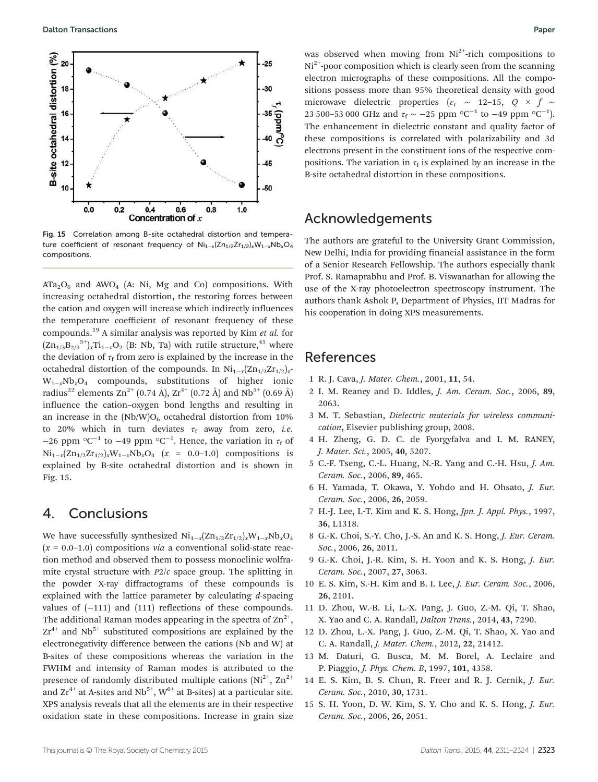

Fig. 15 Correlation among B-site octahedral distortion and temperature coefficient of resonant frequency of Ni<sub>1−x</sub>(Zn<sub>1/2</sub>Zr<sub>1/2</sub>)<sub>x</sub>W<sub>1−x</sub>Nb<sub>x</sub>O<sub>4</sub> compositions.

 $ATa<sub>2</sub>O<sub>6</sub>$  and  $AWO<sub>4</sub>$  (A: Ni, Mg and Co) compositions. With increasing octahedral distortion, the restoring forces between the cation and oxygen will increase which indirectly influences the temperature coefficient of resonant frequency of these compounds.<sup>19</sup> A similar analysis was reported by Kim *et al.* for  $(\text{Zn}_{1/3}\text{B}_{2/3}^{\text{5+}})_{x}\text{Ti}_{1-x}\text{O}_2$  (B: Nb, Ta) with rutile structure,<sup>45</sup> where the deviation of  $\tau_{\rm f}$  from zero is explained by the increase in the octahedral distortion of the compounds. In Ni<sub>1-*x*</sub>(Zn<sub>1/2</sub>Zr<sub>1/2</sub>)<sub>*x*</sub>-W1−*x*Nb*x*O<sup>4</sup> compounds, substitutions of higher ionic radius<sup>22</sup> elements Zn<sup>2+</sup> (0.74 Å), Zr<sup>4+</sup> (0.72 Å) and Nb<sup>5+</sup> (0.69 Å) influence the cation–oxygen bond lengths and resulting in an increase in the  $(Nb/W)O_6$  octahedral distortion from 10% to 20% which in turn deviates  $\tau_f$  away from zero, *i.e.* −26 ppm  $\mathrm{^{\circ}C}^{-1}$  to −49 ppm  $\mathrm{^{\circ}C}^{-1}$ . Hence, the variation in  $\tau_{\mathrm{f}}$  of Ni1−*<sup>x</sup>* (Zn1/2Zr1/2)*x*W1−*x*Nb*x*O<sup>4</sup> (*x* = 0.0–1.0) compositions is explained by B-site octahedral distortion and is shown in Fig. 15.

## 4. Conclusions

We have successfully synthesized Ni1−*<sup>x</sup>* (Zn1/2Zr1/2)*x*W1−*x*Nb*x*O<sup>4</sup>  $(x = 0.0-1.0)$  compositions *via* a conventional solid-state reaction method and observed them to possess monoclinic wolframite crystal structure with *P*2/*c* space group. The splitting in the powder X-ray diffractograms of these compounds is explained with the lattice parameter by calculating *d*-spacing values of (−111) and (111) reflections of these compounds. The additional Raman modes appearing in the spectra of  $\text{Zn}^{2+},$  $Zr^{4+}$  and Nb<sup>5+</sup> substituted compositions are explained by the electronegativity difference between the cations (Nb and W) at B-sites of these compositions whereas the variation in the FWHM and intensity of Raman modes is attributed to the presence of randomly distributed multiple cations  $(Ni^{2+}, Zn^{2+})$ and  $Zr^{4+}$  at A-sites and Nb<sup>5+</sup>, W<sup>6+</sup> at B-sites) at a particular site. XPS analysis reveals that all the elements are in their respective oxidation state in these compositions. Increase in grain size

was observed when moving from  $Ni<sup>2+</sup>$ -rich compositions to  $Ni<sup>2+</sup>$ -poor composition which is clearly seen from the scanning electron micrographs of these compositions. All the compositions possess more than 95% theoretical density with good microwave dielectric properties ( $\varepsilon_r \sim 12-15$ ,  $Q \times f \sim$ 23 500–53 000 GHz and  $\tau_{\rm f} \sim -25$  ppm °C<sup>-1</sup> to −49 ppm °C<sup>-1</sup>). The enhancement in dielectric constant and quality factor of these compositions is correlated with polarizability and 3d electrons present in the constituent ions of the respective compositions. The variation in  $\tau_f$  is explained by an increase in the B-site octahedral distortion in these compositions.

# Acknowledgements

The authors are grateful to the University Grant Commission, New Delhi, India for providing financial assistance in the form of a Senior Research Fellowship. The authors especially thank Prof. S. Ramaprabhu and Prof. B. Viswanathan for allowing the use of the X-ray photoelectron spectroscopy instrument. The authors thank Ashok P, Department of Physics, IIT Madras for his cooperation in doing XPS measurements.

### References

- 1 R. J. Cava, *J. Mater. Chem.*, 2001, 11, 54.
- 2 I. M. Reaney and D. Iddles, *J. Am. Ceram. Soc.*, 2006, 89, 2063.
- 3 M. T. Sebastian, *Dielectric materials for wireless communication*, Elsevier publishing group, 2008.
- 4 H. Zheng, G. D. C. de Fyorgyfalva and I. M. RANEY, *J. Mater. Sci.*, 2005, 40, 5207.
- 5 C.-F. Tseng, C.-L. Huang, N.-R. Yang and C.-H. Hsu, *J. Am. Ceram. Soc.*, 2006, 89, 465.
- 6 H. Yamada, T. Okawa, Y. Yohdo and H. Ohsato, *J. Eur. Ceram. Soc.*, 2006, 26, 2059.
- 7 H.-J. Lee, I.-T. Kim and K. S. Hong, *Jpn. J. Appl. Phys.*, 1997, 36, L1318.
- 8 G.-K. Choi, S.-Y. Cho, J.-S. An and K. S. Hong, *J. Eur. Ceram. Soc.*, 2006, 26, 2011.
- 9 G.-K. Choi, J.-R. Kim, S. H. Yoon and K. S. Hong, *J. Eur. Ceram. Soc.*, 2007, 27, 3063.
- 10 E. S. Kim, S.-H. Kim and B. I. Lee, *J. Eur. Ceram. Soc.*, 2006, 26, 2101.
- 11 D. Zhou, W.-B. Li, L.-X. Pang, J. Guo, Z.-M. Qi, T. Shao, X. Yao and C. A. Randall, *Dalton Trans.*, 2014, 43, 7290.
- 12 D. Zhou, L.-X. Pang, J. Guo, Z.-M. Qi, T. Shao, X. Yao and C. A. Randall, *J. Mater. Chem.*, 2012, 22, 21412.
- 13 M. Daturi, G. Busca, M. M. Borel, A. Leclaire and P. Piaggio, *J. Phys. Chem. B*, 1997, 101, 4358.
- 14 E. S. Kim, B. S. Chun, R. Freer and R. J. Cernik, *J. Eur. Ceram. Soc.*, 2010, 30, 1731.
- 15 S. H. Yoon, D. W. Kim, S. Y. Cho and K. S. Hong, *J. Eur. Ceram. Soc.*, 2006, 26, 2051.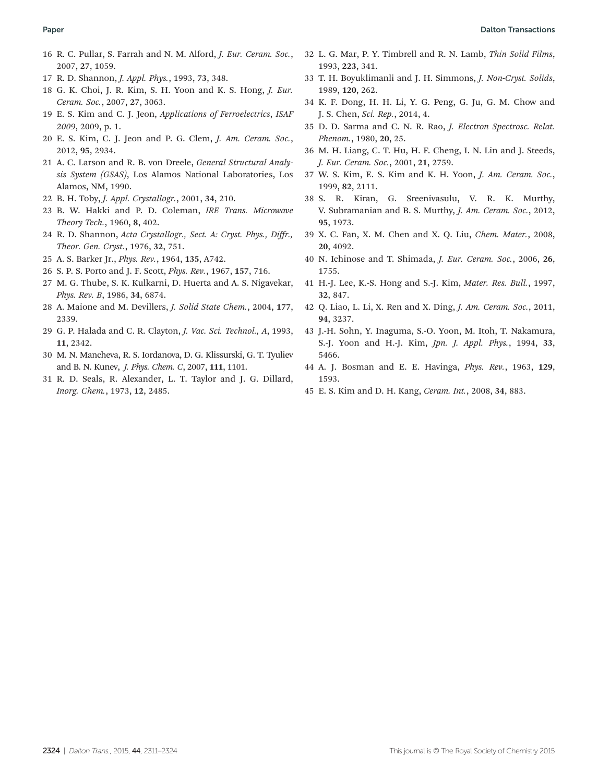#### Paper **Dalton Transactions** (Paper Section 2018) **Paper** 2014 **Dalton Transactions**

- 16 R. C. Pullar, S. Farrah and N. M. Alford, *J. Eur. Ceram. Soc.*, 2007, 27, 1059.
- 17 R. D. Shannon, *J. Appl. Phys.*, 1993, 73, 348.
- 18 G. K. Choi, J. R. Kim, S. H. Yoon and K. S. Hong, *J. Eur. Ceram. Soc.*, 2007, 27, 3063.
- 19 E. S. Kim and C. J. Jeon, *Applications of Ferroelectrics*, *ISAF 2009*, 2009, p. 1.
- 20 E. S. Kim, C. J. Jeon and P. G. Clem, *J. Am. Ceram. Soc.*, 2012, 95, 2934.
- 21 A. C. Larson and R. B. von Dreele, *General Structural Analysis System (GSAS)*, Los Alamos National Laboratories, Los Alamos, NM, 1990.
- 22 B. H. Toby, *J. Appl. Crystallogr.*, 2001, 34, 210.
- 23 B. W. Hakki and P. D. Coleman, *IRE Trans. Microwave Theory Tech.*, 1960, 8, 402.
- 24 R. D. Shannon, *Acta Crystallogr., Sect. A: Cryst. Phys., Di*ff*r., Theor. Gen. Cryst.*, 1976, 32, 751.
- 25 A. S. Barker Jr., *Phys. Rev.*, 1964, 135, A742.
- 26 S. P. S. Porto and J. F. Scott, *Phys. Rev.*, 1967, 157, 716.
- 27 M. G. Thube, S. K. Kulkarni, D. Huerta and A. S. Nigavekar, *Phys. Rev. B*, 1986, 34, 6874.
- 28 A. Maione and M. Devillers, *J. Solid State Chem.*, 2004, 177, 2339.
- 29 G. P. Halada and C. R. Clayton, *J. Vac. Sci. Technol., A*, 1993, 11, 2342.
- 30 M. N. Mancheva, R. S. Iordanova, D. G. Klissurski, G. T. Tyuliev and B. N. Kunev, *J. Phys. Chem. C*, 2007, 111, 1101.
- 31 R. D. Seals, R. Alexander, L. T. Taylor and J. G. Dillard, *Inorg. Chem.*, 1973, 12, 2485.
- 32 L. G. Mar, P. Y. Timbrell and R. N. Lamb, *Thin Solid Films*, 1993, 223, 341.
- 33 T. H. Boyuklimanli and J. H. Simmons, *J. Non-Cryst. Solids*, 1989, 120, 262.
- 34 K. F. Dong, H. H. Li, Y. G. Peng, G. Ju, G. M. Chow and J. S. Chen, *Sci. Rep.*, 2014, 4.
- 35 D. D. Sarma and C. N. R. Rao, *J. Electron Spectrosc. Relat. Phenom.*, 1980, 20, 25.
- 36 M. H. Liang, C. T. Hu, H. F. Cheng, I. N. Lin and J. Steeds, *J. Eur. Ceram. Soc.*, 2001, 21, 2759.
- 37 W. S. Kim, E. S. Kim and K. H. Yoon, *J. Am. Ceram. Soc.*, 1999, 82, 2111.
- 38 S. R. Kiran, G. Sreenivasulu, V. R. K. Murthy, V. Subramanian and B. S. Murthy, *J. Am. Ceram. Soc.*, 2012, 95, 1973.
- 39 X. C. Fan, X. M. Chen and X. Q. Liu, *Chem. Mater.*, 2008, 20, 4092.
- 40 N. Ichinose and T. Shimada, *J. Eur. Ceram. Soc.*, 2006, 26, 1755.
- 41 H.-J. Lee, K.-S. Hong and S.-J. Kim, *Mater. Res. Bull.*, 1997, 32, 847.
- 42 Q. Liao, L. Li, X. Ren and X. Ding, *J. Am. Ceram. Soc.*, 2011, 94, 3237.
- 43 J.-H. Sohn, Y. Inaguma, S.-O. Yoon, M. Itoh, T. Nakamura, S.-J. Yoon and H.-J. Kim, *Jpn. J. Appl. Phys.*, 1994, 33, 5466.
- 44 A. J. Bosman and E. E. Havinga, *Phys. Rev.*, 1963, 129, 1593.
- 45 E. S. Kim and D. H. Kang, *Ceram. Int.*, 2008, 34, 883.